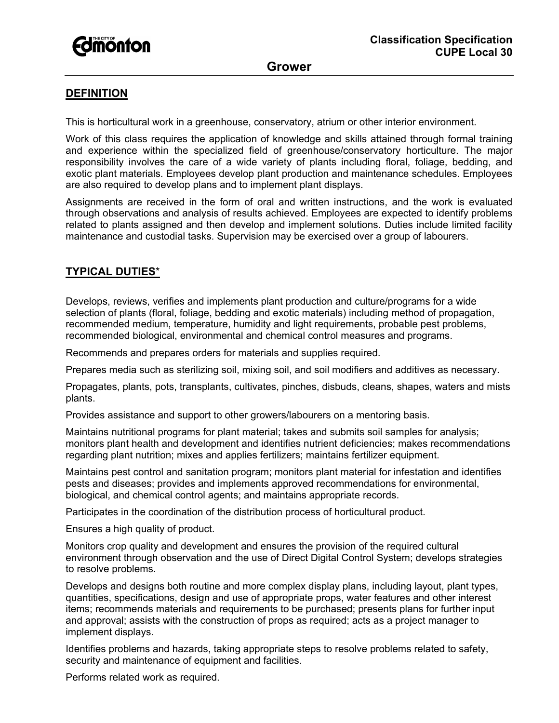

### **DEFINITION**

This is horticultural work in a greenhouse, conservatory, atrium or other interior environment.

Work of this class requires the application of knowledge and skills attained through formal training and experience within the specialized field of greenhouse/conservatory horticulture. The major responsibility involves the care of a wide variety of plants including floral, foliage, bedding, and exotic plant materials. Employees develop plant production and maintenance schedules. Employees are also required to develop plans and to implement plant displays.

Assignments are received in the form of oral and written instructions, and the work is evaluated through observations and analysis of results achieved. Employees are expected to identify problems related to plants assigned and then develop and implement solutions. Duties include limited facility maintenance and custodial tasks. Supervision may be exercised over a group of labourers.

# **TYPICAL DUTIES**\*

Develops, reviews, verifies and implements plant production and culture/programs for a wide selection of plants (floral, foliage, bedding and exotic materials) including method of propagation, recommended medium, temperature, humidity and light requirements, probable pest problems, recommended biological, environmental and chemical control measures and programs.

Recommends and prepares orders for materials and supplies required.

Prepares media such as sterilizing soil, mixing soil, and soil modifiers and additives as necessary.

Propagates, plants, pots, transplants, cultivates, pinches, disbuds, cleans, shapes, waters and mists plants.

Provides assistance and support to other growers/labourers on a mentoring basis.

Maintains nutritional programs for plant material; takes and submits soil samples for analysis; monitors plant health and development and identifies nutrient deficiencies; makes recommendations regarding plant nutrition; mixes and applies fertilizers; maintains fertilizer equipment.

Maintains pest control and sanitation program; monitors plant material for infestation and identifies pests and diseases; provides and implements approved recommendations for environmental, biological, and chemical control agents; and maintains appropriate records.

Participates in the coordination of the distribution process of horticultural product.

Ensures a high quality of product.

Monitors crop quality and development and ensures the provision of the required cultural environment through observation and the use of Direct Digital Control System; develops strategies to resolve problems.

Develops and designs both routine and more complex display plans, including layout, plant types, quantities, specifications, design and use of appropriate props, water features and other interest items; recommends materials and requirements to be purchased; presents plans for further input and approval; assists with the construction of props as required; acts as a project manager to implement displays.

Identifies problems and hazards, taking appropriate steps to resolve problems related to safety, security and maintenance of equipment and facilities.

Performs related work as required.